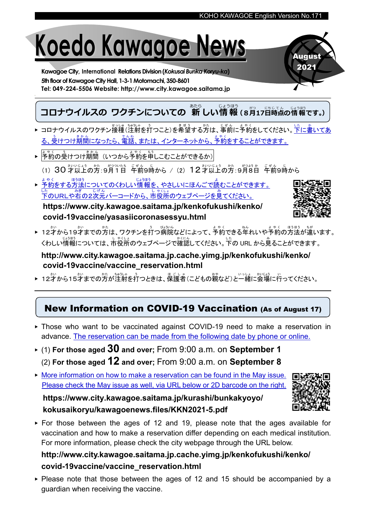# Koedo Kawagoe News

Kawagoe City, International Relations Division(Kokusai Bunka Koryu-ka) 5th floor of Kawagoe City Hall, 1-3-1 Motomachi, 350-8601 Tel: 049-224-5506 Website: http://www.city.kawagoe.saitama.jp

コロナウイルスの ワクチンについての 新しい情報 (8月17日時点の情報です。) あたら じょうほう がつ にちじてん

- ▶ コロナウイルスのワクチン接種(注射を打つこと)を希望する方は、事前に予約をしてください。下に書いてあ る、<sup>ぅ</sup><br>る、受けつけ期間になったら、電話、または、インターネットから、予約をすることができます。
- ▶ │<sup>≴ゃく ぅ</sup><br>▶ │予約の受けつけ期間(いつから予約を申しこむことができるか)
- (1) 30 才以上の方:9月1日 午前9時から / (2) 12才以上の方:9月8日 午前9時から
- ▶ 予約 よ や く 。ほうほう。<br>をする方法についてのくわしい情報を、やさしいにほんごで読むことができます。 した<br>下のURLや右の2次元バーコードから、市役所のウェブページを見てください。

https://www.city.kawagoe.saitama.jp/kenkofukushi/kenko/ covid-19vaccine/yasasiicoronasessyu.html



August 2021

▶ 12才から19才までの方は、ワクチンを打つ病院などによって、予約できる年れいや予約の方法が違います。 くわしい情報については、市役所のウェブページで確認してください。下の URL から見ることができます。

http://www.city.kawagoe.saitama.jp.cache.yimg.jp/kenkofukushi/kenko/ covid-19vaccine/vaccine\_reservation.html

▶ 12才から15才までの方が注射を打つときは、保護者(こどもの親など)と一緒 。<br>に会場に行ってください。

## New Information on COVID-19 Vaccination (As of August 17)

- ▶ Those who want to be vaccinated against COVID-19 need to make a reservation in advance. The reservation can be made from the following date by phone or online.
- $\triangleright$  (1) For those aged 30 and over; From 9:00 a.m. on September 1 (2) For those aged  $12$  and over; From 9:00 a.m. on September 8
- ▶ More information on how to make a reservation can be found in the May issue. Please check the May issue as well, via URL below or 2D barcode on the right.

https://www.city.kawagoe.saitama.jp/kurashi/bunkakyoyo/ kokusaikoryu/kawagoenews.files/KKN2021-5.pdf

▶ For those between the ages of 12 and 19, please note that the ages available for vaccination and how to make a reservation differ depending on each medical institution. For more information, please check the city webpage through the URL below.

### http://www.city.kawagoe.saitama.jp.cache.yimg.jp/kenkofukushi/kenko/ covid-19vaccine/vaccine\_reservation.html

▶ Please note that those between the ages of 12 and 15 should be accompanied by a guardian when receiving the vaccine.